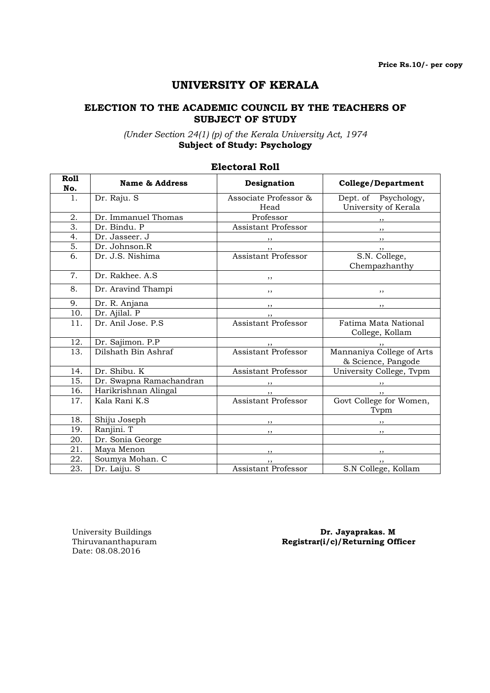# UNIVERSITY OF KERALA

#### ELECTION TO THE ACADEMIC COUNCIL BY THE TEACHERS OF SUBJECT OF STUDY

(Under Section 24(1) (p) of the Kerala University Act, 1974 Subject of Study: Psychology

| <b>Roll</b><br>No. | <b>Name &amp; Address</b> | Designation                   | <b>College/Department</b>                             |
|--------------------|---------------------------|-------------------------------|-------------------------------------------------------|
| 1.                 | Dr. Raju. S               | Associate Professor &<br>Head | Dept. of Psychology,<br>University of Kerala          |
| 2.                 | Dr. Immanuel Thomas       | Professor                     | $\overline{\phantom{a}}$                              |
| 3.                 | Dr. Bindu. P              | Assistant Professor           | $\cdots$                                              |
| 4.                 | Dr. Jasseer. J            |                               | $\overline{\phantom{a}}$                              |
| 5.                 | Dr. Johnson.R             |                               | $, \, \,$                                             |
| 6.                 | Dr. J.S. Nishima          | <b>Assistant Professor</b>    | S.N. College,<br>Chempazhanthy                        |
| 7.                 | Dr. Rakhee, A.S.          | ,,                            |                                                       |
| 8.                 | Dr. Aravind Thampi        | ,,                            | ,,                                                    |
| 9.                 | Dr. R. Anjana             | ,,                            | , ,                                                   |
| 10.                | Dr. Ajilal. P             |                               |                                                       |
| 11.                | Dr. Anil Jose. P.S.       | Assistant Professor           | Fatima Mata National<br>College, Kollam               |
| 12.                | Dr. Sajimon. P.P          |                               |                                                       |
| 13.                | Dilshath Bin Ashraf       | ,,<br>Assistant Professor     | ,,<br>Mannaniya College of Arts<br>& Science, Pangode |
| 14.                | Dr. Shibu. K              | Assistant Professor           | University College, Tvpm                              |
| 15.                | Dr. Swapna Ramachandran   |                               | $, \, \, \cdot$                                       |
| 16.                | Harikrishnan Alingal      |                               | , ,                                                   |
| 17.                | Kala Rani K.S             | Assistant Professor           | Govt College for Women,<br>Tvpm                       |
| 18.                | Shiju Joseph              | $, \, \,$                     |                                                       |
| 19.                | Ranjini. T                | $, \,$                        | $, \, \,$                                             |
| 20.                | Dr. Sonia George          |                               |                                                       |
| 21.                | Maya Menon                | ,,                            | $, \,$                                                |
| 22.                | Soumya Mohan. C           |                               | ,,                                                    |
| 23.                | Dr. Laiju. S              | Assistant Professor           | S.N College, Kollam                                   |

### Electoral Roll

Date: 08.08.2016

University Buildings **Dr. Jayaprakas. M**<br>Thiruvananthapuram **Dr. Jayaprakas. M** Registrar(i/c)/Returning Officer